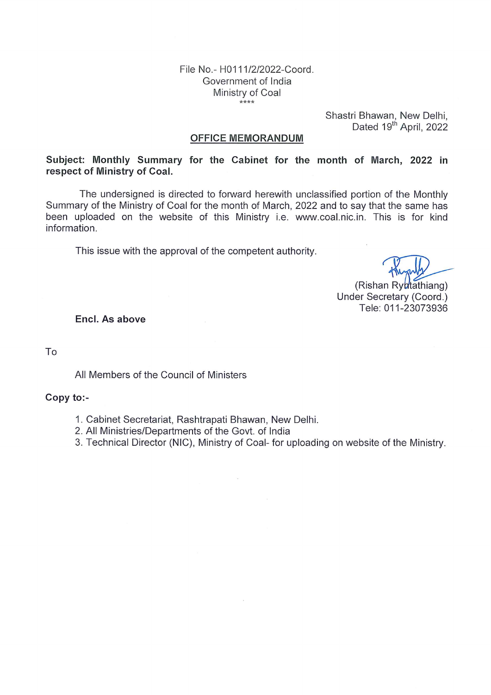File No.- H0111/2/2022-Coord. Government of India Ministry of Coal  $***$ 

Shastri Bhawan, New Delhi,<br>Dated 19<sup>th</sup> April, 2022

#### **OFFICE MEMORANDUM**

Subject: Monthly Summary for the Cabinet for the month of March, 2022 in respect of Ministry of Coal.

The undersigned is directed to forward herewith unclassified portion of the Monthly Summary of the Ministry of Coal for the month of March, 2022 and to say that the same has been uploaded on the website of this Ministry i.e. www.coal.nic.in. This is for kind information.

This issue with the approval of the competent authority.

(Rishan Rybtathiang) Under Secretary (Coord.) Tele: 011-23073936

Encl. As above

To

All Members of the Council of Ministers

### Copy to:-

- 1. Cabinet Secretariat, Rashtrapati Bhawan, New Delhi.
- 2. All Ministries/Departments of the Govt. of India
- 3. Technical Director (NIC), Ministry of Coal- for uploading on website of the Ministry.

 $\omega$ 

 $\bar{\rm x}$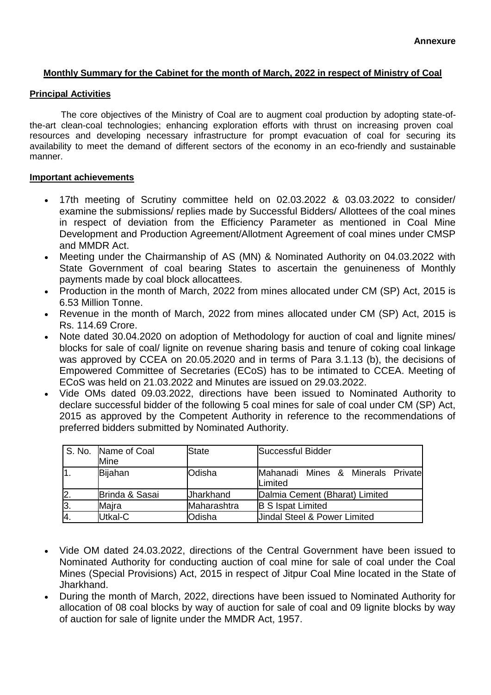### **Monthly Summary for the Cabinet for the month of March, 2022 in respect of Ministry of Coal**

#### **Principal Activities**

 The core objectives of the Ministry of Coal are to augment coal production by adopting state-ofthe-art clean-coal technologies; enhancing exploration efforts with thrust on increasing proven coal resources and developing necessary infrastructure for prompt evacuation of coal for securing its availability to meet the demand of different sectors of the economy in an eco-friendly and sustainable manner.

### **Important achievements**

- 17th meeting of Scrutiny committee held on 02.03.2022 & 03.03.2022 to consider/ examine the submissions/ replies made by Successful Bidders/ Allottees of the coal mines in respect of deviation from the Efficiency Parameter as mentioned in Coal Mine Development and Production Agreement/Allotment Agreement of coal mines under CMSP and MMDR Act.
- Meeting under the Chairmanship of AS (MN) & Nominated Authority on 04.03.2022 with State Government of coal bearing States to ascertain the genuineness of Monthly payments made by coal block allocattees.
- Production in the month of March, 2022 from mines allocated under CM (SP) Act, 2015 is 6.53 Million Tonne.
- Revenue in the month of March, 2022 from mines allocated under CM (SP) Act, 2015 is Rs. 114.69 Crore.
- Note dated 30.04.2020 on adoption of Methodology for auction of coal and lignite mines/ blocks for sale of coal/ lignite on revenue sharing basis and tenure of coking coal linkage was approved by CCEA on 20.05.2020 and in terms of Para 3.1.13 (b), the decisions of Empowered Committee of Secretaries (ECoS) has to be intimated to CCEA. Meeting of ECoS was held on 21.03.2022 and Minutes are issued on 29.03.2022.
- Vide OMs dated 09.03.2022, directions have been issued to Nominated Authority to declare successful bidder of the following 5 coal mines for sale of coal under CM (SP) Act, 2015 as approved by the Competent Authority in reference to the recommendations of preferred bidders submitted by Nominated Authority.

|                  | S. No. Name of Coal<br>Mine | State            | Successful Bidder                            |  |  |  |  |
|------------------|-----------------------------|------------------|----------------------------------------------|--|--|--|--|
| 11.              | Bijahan                     | Odisha           | Mahanadi Mines & Minerals Private<br>Limited |  |  |  |  |
| 2.               | Brinda & Sasai              | <b>Jharkhand</b> | Dalmia Cement (Bharat) Limited               |  |  |  |  |
| $\overline{3}$ . | Majra                       | Maharashtra      | <b>B S Ispat Limited</b>                     |  |  |  |  |
| 4.               | Utkal-C                     | Odisha           | <b>Jindal Steel &amp; Power Limited</b>      |  |  |  |  |

- Vide OM dated 24.03.2022, directions of the Central Government have been issued to Nominated Authority for conducting auction of coal mine for sale of coal under the Coal Mines (Special Provisions) Act, 2015 in respect of Jitpur Coal Mine located in the State of Jharkhand.
- During the month of March, 2022, directions have been issued to Nominated Authority for allocation of 08 coal blocks by way of auction for sale of coal and 09 lignite blocks by way of auction for sale of lignite under the MMDR Act, 1957.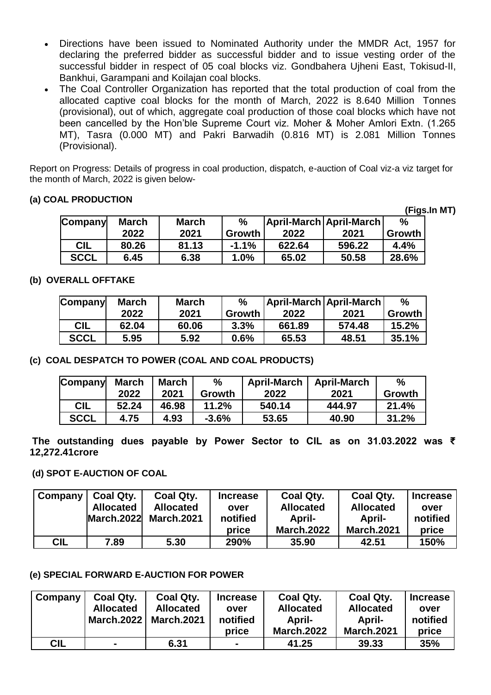- Directions have been issued to Nominated Authority under the MMDR Act, 1957 for declaring the preferred bidder as successful bidder and to issue vesting order of the successful bidder in respect of 05 coal blocks viz. Gondbahera Ujheni East, Tokisud-II, Bankhui, Garampani and Koilajan coal blocks.
- The Coal Controller Organization has reported that the total production of coal from the allocated captive coal blocks for the month of March, 2022 is 8.640 Million Tonnes (provisional), out of which, aggregate coal production of those coal blocks which have not been cancelled by the Hon'ble Supreme Court viz. Moher & Moher Amlori Extn. (1.265 MT), Tasra (0.000 MT) and Pakri Barwadih (0.816 MT) is 2.081 Million Tonnes (Provisional).

Report on Progress: Details of progress in coal production, dispatch, e-auction of Coal viz-a viz target for the month of March, 2022 is given below-

### **(a) COAL PRODUCTION**

|             |              |              |         |        |                           |               | (Figs.In MT) |
|-------------|--------------|--------------|---------|--------|---------------------------|---------------|--------------|
| Company     | <b>March</b> | <b>March</b> | $\%$    |        | April-March   April-March | $\frac{0}{0}$ |              |
|             | 2022         | 2021         | Growth  | 2022   | 2021                      | Growth        |              |
| <b>CIL</b>  | 80.26        | 81.13        | $-1.1%$ | 622.64 | 596.22                    | 4.4%          |              |
| <b>SCCL</b> | 6.45         | 6.38         | 1.0%    | 65.02  | 50.58                     | 28.6%         |              |

### **(b) OVERALL OFFTAKE**

| Company     | <b>March</b><br><b>March</b> |       | $\frac{0}{0}$ |        | April-March April-March | $\frac{0}{0}$ |
|-------------|------------------------------|-------|---------------|--------|-------------------------|---------------|
|             | 2022                         | 2021  | Growth        | 2022   | 2021                    | Growth        |
| CIL         | 62.04                        | 60.06 | 3.3%          | 661.89 | 574.48                  | 15.2%         |
| <b>SCCL</b> | 5.95                         | 5.92  | 0.6%          | 65.53  | 48.51                   | 35.1%         |

**(c) COAL DESPATCH TO POWER (COAL AND COAL PRODUCTS)**

| <b>Company</b> | <b>March</b> | <b>March</b> | $\%$    | <b>April-March</b> | <b>April-March</b> | $\frac{0}{0}$ |
|----------------|--------------|--------------|---------|--------------------|--------------------|---------------|
|                | 2022         | 2021         | Growth  | 2022               | 2021               | Growth        |
| <b>CIL</b>     | 52.24        | 46.98        | 11.2%   | 540.14             | 444.97             | 21.4%         |
| <b>SCCL</b>    | 4.75         | 4.93         | $-3.6%$ | 53.65              | 40.90              | 31.2%         |

**The outstanding dues payable by Power Sector to CIL as on 31.03.2022 was ₹ 12,272.41crore**

### **(d) SPOT E-AUCTION OF COAL**

| Company    | Coal Qty.        | Coal Qty.         | <b>Increase</b> | Coal Qty.         | <b>Coal Qty.</b>  | <b>Increase</b> |
|------------|------------------|-------------------|-----------------|-------------------|-------------------|-----------------|
|            | <b>Allocated</b> | <b>Allocated</b>  | over            | <b>Allocated</b>  | <b>Allocated</b>  | over            |
|            | March.2022       | <b>March.2021</b> | notified        | April-            | April-            | notified        |
|            |                  |                   | price           | <b>March.2022</b> | <b>March.2021</b> | price           |
| <b>CIL</b> | 7.89             | 5.30              | 290%            | 35.90             | 42.51             | 150%            |

## **(e) SPECIAL FORWARD E-AUCTION FOR POWER**

| Company    | Coal Qty.         | Coal Qty.         | <b>Increase</b> | Coal Qty.         | <b>Coal Qty.</b>  | <b>Increase</b> |
|------------|-------------------|-------------------|-----------------|-------------------|-------------------|-----------------|
|            | <b>Allocated</b>  | <b>Allocated</b>  | over            | <b>Allocated</b>  | <b>Allocated</b>  | over            |
|            | <b>March.2022</b> | <b>March.2021</b> | notified        | April-            | <b>April-</b>     | notified        |
|            |                   |                   | price           | <b>March.2022</b> | <b>March.2021</b> | price           |
| <b>CIL</b> | $\blacksquare$    | 6.31              | $\blacksquare$  | 41.25             | 39.33             | 35%             |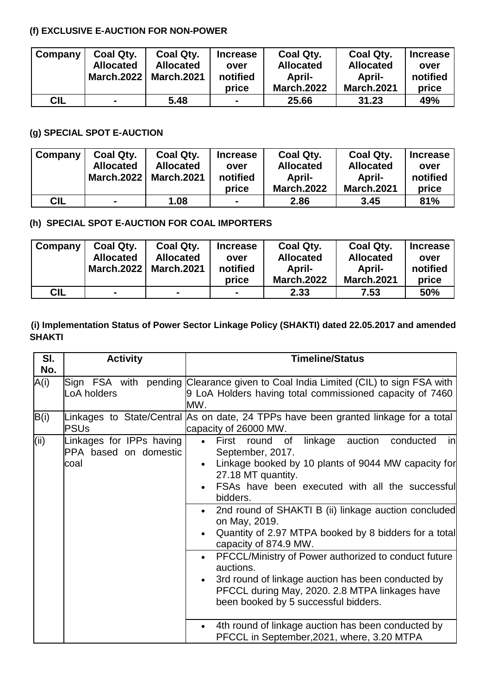# **(f) EXCLUSIVE E-AUCTION FOR NON-POWER**

| Company    | Coal Qty.<br><b>Allocated</b> | Coal Qty.<br><b>Allocated</b> | <b>Increase</b><br>over | Coal Qty.<br><b>Allocated</b> | Coal Qty.<br><b>Allocated</b> | <b>Increase</b><br>over |
|------------|-------------------------------|-------------------------------|-------------------------|-------------------------------|-------------------------------|-------------------------|
|            | <b>March.2022</b>             | <b>March.2021</b>             | notified                | April-                        | April-                        | notified                |
|            |                               |                               | price                   | <b>March.2022</b>             | <b>March.2021</b>             | price                   |
| <b>CIL</b> | $\blacksquare$                | 5.48                          | $\blacksquare$          | 25.66                         | 31.23                         | 49%                     |

### **(g) SPECIAL SPOT E-AUCTION**

| Company    | Coal Qty.         | Coal Qty.         | <b>Increase</b> | Coal Qty.         | Coal Qty.         | <b>Increase</b> |
|------------|-------------------|-------------------|-----------------|-------------------|-------------------|-----------------|
|            | <b>Allocated</b>  | <b>Allocated</b>  | over            | <b>Allocated</b>  | <b>Allocated</b>  | over            |
|            | <b>March.2022</b> | <b>March.2021</b> | notified        | April-            | April-            | notified        |
|            |                   |                   | price           | <b>March.2022</b> | <b>March.2021</b> | price           |
| <b>CIL</b> |                   | 1.08              | $\blacksquare$  | 2.86              | 3.45              | 81%             |

# **(h) SPECIAL SPOT E-AUCTION FOR COAL IMPORTERS**

| Company | Coal Qty.         | Coal Qty.         | <b>Increase</b> | Coal Qty.         | Coal Qty.         | <b>Increase</b> |
|---------|-------------------|-------------------|-----------------|-------------------|-------------------|-----------------|
|         | <b>Allocated</b>  | <b>Allocated</b>  | over            | <b>Allocated</b>  | <b>Allocated</b>  | over            |
|         | <b>March.2022</b> | <b>March.2021</b> | notified        | April-            | <b>April-</b>     | notified        |
|         |                   |                   | price           | <b>March.2022</b> | <b>March.2021</b> | price           |
| CIL     | $\sim$            |                   | $\blacksquare$  | 2.33              | 7.53              | 50%             |

## **(i) Implementation Status of Power Sector Linkage Policy (SHAKTI) dated 22.05.2017 and amended SHAKTI**

| SI.<br>No. | <b>Activity</b>                                           | <b>Timeline/Status</b>                                                                                                                                                                                                                                                                                                                                                                                                                                                                                                                                                                                                                                                           |  |  |  |  |  |  |
|------------|-----------------------------------------------------------|----------------------------------------------------------------------------------------------------------------------------------------------------------------------------------------------------------------------------------------------------------------------------------------------------------------------------------------------------------------------------------------------------------------------------------------------------------------------------------------------------------------------------------------------------------------------------------------------------------------------------------------------------------------------------------|--|--|--|--|--|--|
| A(i)       | LoA holders                                               | Sign FSA with pending Clearance given to Coal India Limited (CIL) to sign FSA with<br>9 LoA Holders having total commissioned capacity of 7460<br>MW.                                                                                                                                                                                                                                                                                                                                                                                                                                                                                                                            |  |  |  |  |  |  |
| B(i)       | <b>PSUs</b>                                               | Linkages to State/Central As on date, 24 TPPs have been granted linkage for a total<br>capacity of 26000 MW.                                                                                                                                                                                                                                                                                                                                                                                                                                                                                                                                                                     |  |  |  |  |  |  |
| (i)        | Linkages for IPPs having<br>PPA based on domestic<br>coal | round<br>of<br>linkage<br>auction<br>First<br>conducted<br>in<br>$\bullet$<br>September, 2017.<br>Linkage booked by 10 plants of 9044 MW capacity for<br>27.18 MT quantity.<br>FSAs have been executed with all the successful<br>bidders.<br>2nd round of SHAKTI B (ii) linkage auction concluded<br>on May, 2019.<br>Quantity of 2.97 MTPA booked by 8 bidders for a total<br>capacity of 874.9 MW.<br>PFCCL/Ministry of Power authorized to conduct future<br>auctions.<br>3rd round of linkage auction has been conducted by<br>PFCCL during May, 2020. 2.8 MTPA linkages have<br>been booked by 5 successful bidders.<br>4th round of linkage auction has been conducted by |  |  |  |  |  |  |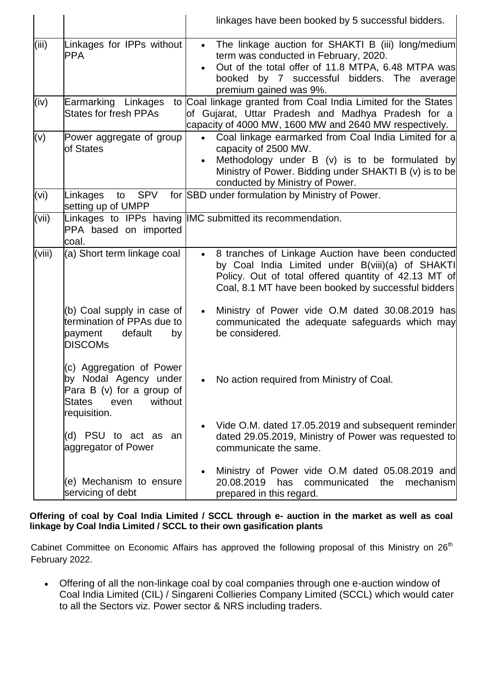|        |                                                                                                                                      | linkages have been booked by 5 successful bidders.                                                                                                                                                                                                   |
|--------|--------------------------------------------------------------------------------------------------------------------------------------|------------------------------------------------------------------------------------------------------------------------------------------------------------------------------------------------------------------------------------------------------|
| (iii)  | Linkages for IPPs without<br><b>PPA</b>                                                                                              | The linkage auction for SHAKTI B (iii) long/medium<br>$\bullet$<br>term was conducted in February, 2020.<br>Out of the total offer of 11.8 MTPA, 6.48 MTPA was<br>$\bullet$<br>booked by 7 successful bidders. The average<br>premium gained was 9%. |
| (iv)   | Earmarking Linkages<br><b>States for fresh PPAs</b>                                                                                  | to Coal linkage granted from Coal India Limited for the States<br>of Gujarat, Uttar Pradesh and Madhya Pradesh for a<br>capacity of 4000 MW, 1600 MW and 2640 MW respectively.                                                                       |
| (v)    | Power aggregate of group<br>of States                                                                                                | Coal linkage earmarked from Coal India Limited for a<br>$\bullet$<br>capacity of 2500 MW.<br>Methodology under $B(y)$ is to be formulated by<br>Ministry of Power. Bidding under SHAKTI B (v) is to be<br>conducted by Ministry of Power.            |
| (vi)   | Linkages<br><b>SPV</b><br>to<br>setting up of UMPP                                                                                   | for SBD under formulation by Ministry of Power.                                                                                                                                                                                                      |
| (vii)  | PPA based on imported<br>coal.                                                                                                       | Linkages to IPPs having IMC submitted its recommendation.                                                                                                                                                                                            |
| (viii) | (a) Short term linkage coal                                                                                                          | 8 tranches of Linkage Auction have been conducted<br>by Coal India Limited under B(viii)(a) of SHAKTI<br>Policy. Out of total offered quantity of 42.13 MT of<br>Coal, 8.1 MT have been booked by successful bidders                                 |
|        | (b) Coal supply in case of<br>termination of PPAs due to<br>payment<br>default<br>by<br><b>DISCOMs</b>                               | Ministry of Power vide O.M dated 30.08.2019 has<br>communicated the adequate safeguards which may<br>be considered.                                                                                                                                  |
|        | (c) Aggregation of Power<br>by Nodal Agency under<br>Para B $(v)$ for a group of<br>without<br><b>States</b><br>even<br>requisition. | No action required from Ministry of Coal.                                                                                                                                                                                                            |
|        | (d) PSU to act as an<br>aggregator of Power                                                                                          | Vide O.M. dated 17.05.2019 and subsequent reminder<br>dated 29.05.2019, Ministry of Power was requested to<br>communicate the same.                                                                                                                  |
|        | (e) Mechanism to ensure<br>servicing of debt                                                                                         | Ministry of Power vide O.M dated 05.08.2019 and<br>20.08.2019<br>has<br>communicated<br>the<br>mechanism<br>prepared in this regard.                                                                                                                 |

**Offering of coal by Coal India Limited / SCCL through e- auction in the market as well as coal linkage by Coal India Limited / SCCL to their own gasification plants**

Cabinet Committee on Economic Affairs has approved the following proposal of this Ministry on 26<sup>th</sup> February 2022.

 Offering of all the non-linkage coal by coal companies through one e-auction window of Coal India Limited (CIL) / Singareni Collieries Company Limited (SCCL) which would cater to all the Sectors viz. Power sector & NRS including traders.